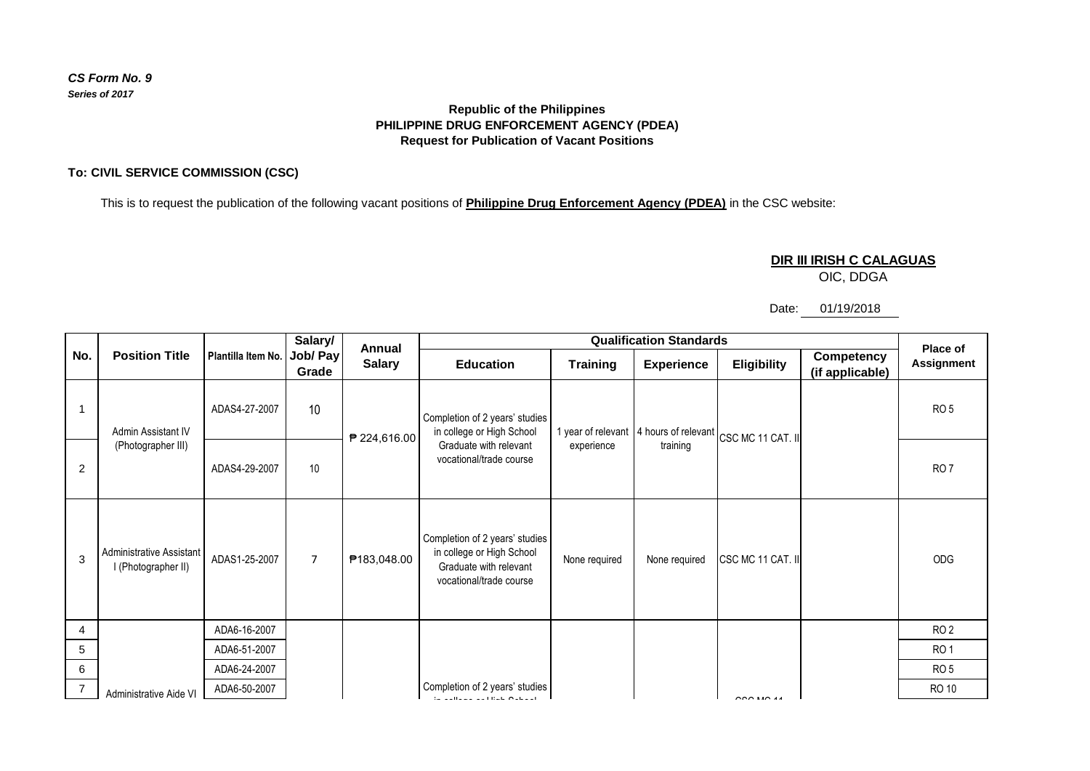# *CS Form No. 9 Series of 2017*

# **Republic of the Philippines PHILIPPINE DRUG ENFORCEMENT AGENCY (PDEA) Request for Publication of Vacant Positions**

# **To: CIVIL SERVICE COMMISSION (CSC)**

This is to request the publication of the following vacant positions of **Philippine Drug Enforcement Agency (PDEA)** in the CSC website:

### **DIR III IRISH C CALAGUAS**

OIC, DDGA

### Date: 01/19/2018

|                | <b>Position Title</b>                           | Plantilla Item No. | Salary/<br>Job/ Pay<br>Grade | Annual<br><b>Salary</b> | <b>Qualification Standards</b>                                                                                   |                 |                   |                                                                          |                               | Place of          |
|----------------|-------------------------------------------------|--------------------|------------------------------|-------------------------|------------------------------------------------------------------------------------------------------------------|-----------------|-------------------|--------------------------------------------------------------------------|-------------------------------|-------------------|
| No.            |                                                 |                    |                              |                         | <b>Education</b>                                                                                                 | <b>Training</b> | <b>Experience</b> | Eligibility                                                              | Competency<br>(if applicable) | <b>Assignment</b> |
|                | Admin Assistant IV<br>(Photographer III)        | ADAS4-27-2007      | 10                           | ₱ 224,616.00            | Completion of 2 years' studies<br>in college or High School<br>Graduate with relevant<br>vocational/trade course | experience      | training          | 1 year of relevant $\vert$ 4 hours of relevant $\vert$ CSC MC 11 CAT. II |                               | RO <sub>5</sub>   |
| $\overline{2}$ |                                                 | ADAS4-29-2007      | 10                           |                         |                                                                                                                  |                 |                   |                                                                          |                               | RO <sub>7</sub>   |
| 3              | Administrative Assistant<br>I (Photographer II) | ADAS1-25-2007      | $\overline{7}$               | ₱183,048.00             | Completion of 2 years' studies<br>in college or High School<br>Graduate with relevant<br>vocational/trade course | None required   | None required     | CSC MC 11 CAT. II                                                        |                               | <b>ODG</b>        |
| 4              |                                                 | ADA6-16-2007       |                              |                         |                                                                                                                  |                 |                   |                                                                          |                               | RO <sub>2</sub>   |
| 5              |                                                 | ADA6-51-2007       |                              |                         |                                                                                                                  |                 |                   |                                                                          |                               | <b>RO1</b>        |
| 6              |                                                 | ADA6-24-2007       |                              |                         |                                                                                                                  |                 |                   |                                                                          |                               | RO <sub>5</sub>   |
| 7              | Administrative Aide VI                          | ADA6-50-2007       |                              |                         | Completion of 2 years' studies<br>ta aallaaa aa Hale Oshaal                                                      |                 |                   | $CCA$ MC $44$                                                            |                               | <b>RO 10</b>      |